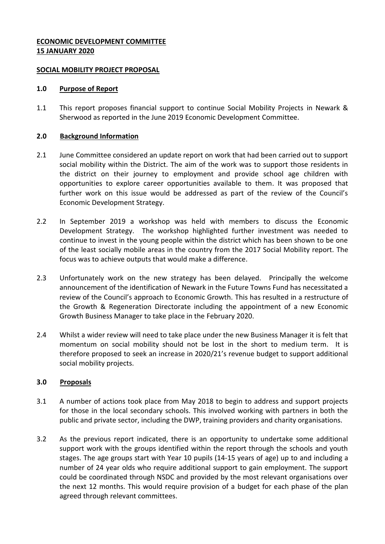## **ECONOMIC DEVELOPMENT COMMITTEE 15 JANUARY 2020**

#### **SOCIAL MOBILITY PROJECT PROPOSAL**

#### **1.0 Purpose of Report**

1.1 This report proposes financial support to continue Social Mobility Projects in Newark & Sherwood as reported in the June 2019 Economic Development Committee.

### **2.0 Background Information**

- 2.1 June Committee considered an update report on work that had been carried out to support social mobility within the District. The aim of the work was to support those residents in the district on their journey to employment and provide school age children with opportunities to explore career opportunities available to them. It was proposed that further work on this issue would be addressed as part of the review of the Council's Economic Development Strategy.
- 2.2 In September 2019 a workshop was held with members to discuss the Economic Development Strategy. The workshop highlighted further investment was needed to continue to invest in the young people within the district which has been shown to be one of the least socially mobile areas in the country from the 2017 Social Mobility report. The focus was to achieve outputs that would make a difference.
- 2.3 Unfortunately work on the new strategy has been delayed. Principally the welcome announcement of the identification of Newark in the Future Towns Fund has necessitated a review of the Council's approach to Economic Growth. This has resulted in a restructure of the Growth & Regeneration Directorate including the appointment of a new Economic Growth Business Manager to take place in the February 2020.
- 2.4 Whilst a wider review will need to take place under the new Business Manager it is felt that momentum on social mobility should not be lost in the short to medium term. It is therefore proposed to seek an increase in 2020/21's revenue budget to support additional social mobility projects.

## **3.0 Proposals**

- 3.1 A number of actions took place from May 2018 to begin to address and support projects for those in the local secondary schools. This involved working with partners in both the public and private sector, including the DWP, training providers and charity organisations.
- 3.2 As the previous report indicated, there is an opportunity to undertake some additional support work with the groups identified within the report through the schools and youth stages. The age groups start with Year 10 pupils (14-15 years of age) up to and including a number of 24 year olds who require additional support to gain employment. The support could be coordinated through NSDC and provided by the most relevant organisations over the next 12 months. This would require provision of a budget for each phase of the plan agreed through relevant committees.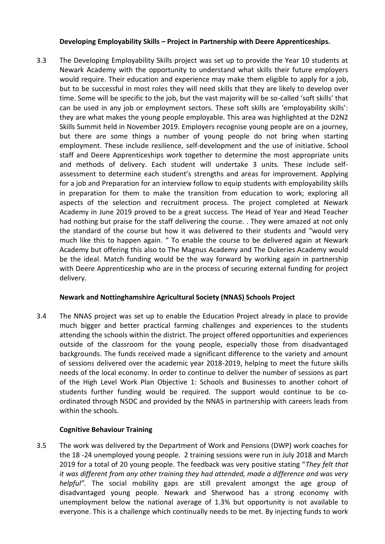## **Developing Employability Skills – Project in Partnership with Deere Apprenticeships.**

3.3 The Developing Employability Skills project was set up to provide the Year 10 students at Newark Academy with the opportunity to understand what skills their future employers would require. Their education and experience may make them eligible to apply for a job, but to be successful in most roles they will need skills that they are likely to develop over time. Some will be specific to the job, but the vast majority will be so-called 'soft skills' that can be used in any job or employment sectors. These soft skills are 'employability skills': they are what makes the young people employable. This area was highlighted at the D2N2 Skills Summit held in November 2019. Employers recognise young people are on a journey, but there are some things a number of young people do not bring when starting employment. These include resilience, self-development and the use of initiative. School staff and Deere Apprenticeships work together to determine the most appropriate units and methods of delivery. Each student will undertake 3 units. These include selfassessment to determine each student's strengths and areas for improvement. Applying for a job and Preparation for an interview follow to equip students with employability skills in preparation for them to make the transition from education to work; exploring all aspects of the selection and recruitment process. The project completed at Newark Academy in June 2019 proved to be a great success. The Head of Year and Head Teacher had nothing but praise for the staff delivering the course. . They were amazed at not only the standard of the course but how it was delivered to their students and "would very much like this to happen again. " To enable the course to be delivered again at Newark Academy but offering this also to The Magnus Academy and The Dukeries Academy would be the ideal. Match funding would be the way forward by working again in partnership with Deere Apprenticeship who are in the process of securing external funding for project delivery.

# **Newark and Nottinghamshire Agricultural Society (NNAS) Schools Project**

3.4 The NNAS project was set up to enable the Education Project already in place to provide much bigger and better practical farming challenges and experiences to the students attending the schools within the district. The project offered opportunities and experiences outside of the classroom for the young people, especially those from disadvantaged backgrounds. The funds received made a significant difference to the variety and amount of sessions delivered over the academic year 2018-2019, helping to meet the future skills needs of the local economy. In order to continue to deliver the number of sessions as part of the High Level Work Plan Objective 1: Schools and Businesses to another cohort of students further funding would be required. The support would continue to be coordinated through NSDC and provided by the NNAS in partnership with careers leads from within the schools.

# **Cognitive Behaviour Training**

3.5 The work was delivered by the Department of Work and Pensions (DWP) work coaches for the 18 -24 unemployed young people. 2 training sessions were run in July 2018 and March 2019 for a total of 20 young people. The feedback was very positive stating "*They felt that it was different from any other training they had attended, made a difference and was very helpful".* The social mobility gaps are still prevalent amongst the age group of disadvantaged young people. Newark and Sherwood has a strong economy with unemployment below the national average of 1.3% but opportunity is not available to everyone. This is a challenge which continually needs to be met. By injecting funds to work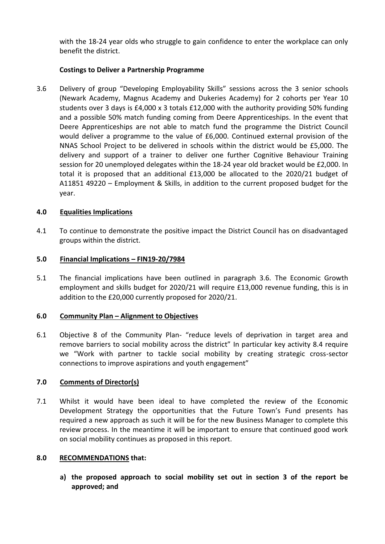with the 18-24 year olds who struggle to gain confidence to enter the workplace can only benefit the district.

## **Costings to Deliver a Partnership Programme**

3.6 Delivery of group "Developing Employability Skills" sessions across the 3 senior schools (Newark Academy, Magnus Academy and Dukeries Academy) for 2 cohorts per Year 10 students over 3 days is £4,000 x 3 totals £12,000 with the authority providing 50% funding and a possible 50% match funding coming from Deere Apprenticeships. In the event that Deere Apprenticeships are not able to match fund the programme the District Council would deliver a programme to the value of £6,000. Continued external provision of the NNAS School Project to be delivered in schools within the district would be £5,000. The delivery and support of a trainer to deliver one further Cognitive Behaviour Training session for 20 unemployed delegates within the 18-24 year old bracket would be £2,000. In total it is proposed that an additional £13,000 be allocated to the 2020/21 budget of A11851 49220 – Employment & Skills, in addition to the current proposed budget for the year.

## **4.0 Equalities Implications**

4.1 To continue to demonstrate the positive impact the District Council has on disadvantaged groups within the district.

### **5.0 Financial Implications – FIN19-20/7984**

5.1 The financial implications have been outlined in paragraph 3.6. The Economic Growth employment and skills budget for 2020/21 will require £13,000 revenue funding, this is in addition to the £20,000 currently proposed for 2020/21.

### **6.0 Community Plan – Alignment to Objectives**

6.1 Objective 8 of the Community Plan- "reduce levels of deprivation in target area and remove barriers to social mobility across the district" In particular key activity 8.4 require we "Work with partner to tackle social mobility by creating strategic cross-sector connections to improve aspirations and youth engagement"

# **7.0 Comments of Director(s)**

7.1 Whilst it would have been ideal to have completed the review of the Economic Development Strategy the opportunities that the Future Town's Fund presents has required a new approach as such it will be for the new Business Manager to complete this review process. In the meantime it will be important to ensure that continued good work on social mobility continues as proposed in this report.

### **8.0 RECOMMENDATIONS that:**

**a) the proposed approach to social mobility set out in section 3 of the report be approved; and**